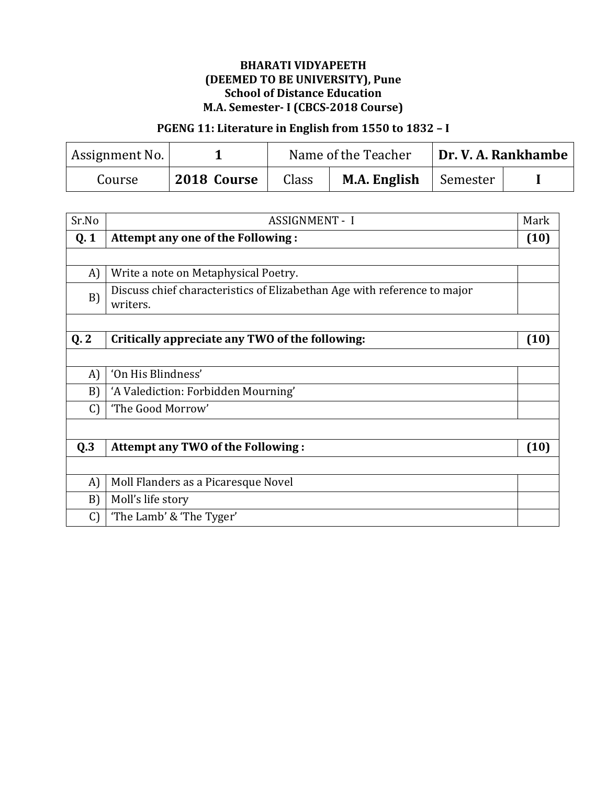# PGENG 11: Literature in English from 1550 to 1832 – I

| Assignment No. |             |       | Name of the Teacher |          | Dr. V. A. Rankhambe ' |
|----------------|-------------|-------|---------------------|----------|-----------------------|
| Course         | 2018 Course | Class | M.A. English        | Semester |                       |

| Sr.No         | <b>ASSIGNMENT - I</b>                                                                | Mark |
|---------------|--------------------------------------------------------------------------------------|------|
| Q.1           | Attempt any one of the Following:                                                    | (10) |
|               |                                                                                      |      |
| A)            | Write a note on Metaphysical Poetry.                                                 |      |
| B)            | Discuss chief characteristics of Elizabethan Age with reference to major<br>writers. |      |
|               |                                                                                      |      |
| Q.2           | Critically appreciate any TWO of the following:                                      | (10) |
|               |                                                                                      |      |
| A)            | 'On His Blindness'                                                                   |      |
| B)            | 'A Valediction: Forbidden Mourning'                                                  |      |
| $\mathcal{C}$ | 'The Good Morrow'                                                                    |      |
|               |                                                                                      |      |
| Q.3           | Attempt any TWO of the Following:                                                    | (10) |
|               |                                                                                      |      |
| A)            | Moll Flanders as a Picaresque Novel                                                  |      |
| B)            | Moll's life story                                                                    |      |
| $\mathcal{C}$ | "The Lamb' & 'The Tyger'                                                             |      |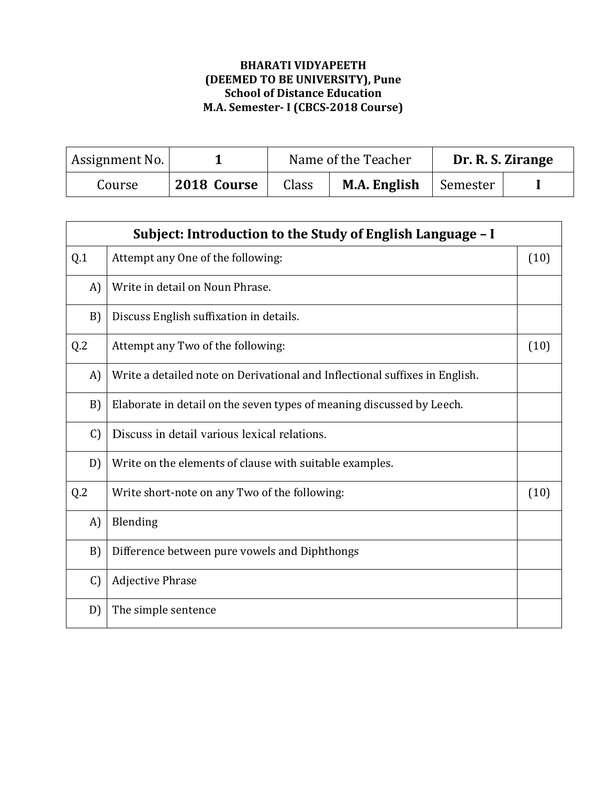| Assignment No. |             | Name of the Teacher |              |          | Dr. R. S. Zirange |
|----------------|-------------|---------------------|--------------|----------|-------------------|
| Course         | 2018 Course | Class               | M.A. English | Semester |                   |

|               | Subject: Introduction to the Study of English Language - I                  |      |
|---------------|-----------------------------------------------------------------------------|------|
| Q.1           | Attempt any One of the following:                                           | (10) |
| A)            | Write in detail on Noun Phrase.                                             |      |
| B)            | Discuss English suffixation in details.                                     |      |
| Q.2           | Attempt any Two of the following:                                           | (10) |
| $\bf{A}$      | Write a detailed note on Derivational and Inflectional suffixes in English. |      |
| B)            | Elaborate in detail on the seven types of meaning discussed by Leech.       |      |
| $\mathcal{C}$ | Discuss in detail various lexical relations.                                |      |
| D)            | Write on the elements of clause with suitable examples.                     |      |
| Q.2           | Write short-note on any Two of the following:                               | (10) |
| A)            | Blending                                                                    |      |
| B)            | Difference between pure vowels and Diphthongs                               |      |
| $\mathcal{C}$ | <b>Adjective Phrase</b>                                                     |      |
| D)            | The simple sentence                                                         |      |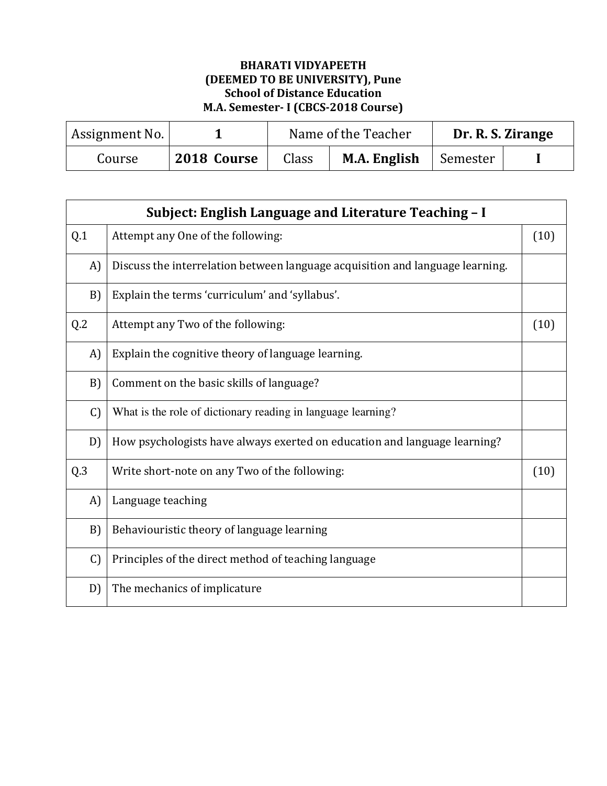| Assignment No. |             |       | Name of the Teacher |          | Dr. R. S. Zirange |
|----------------|-------------|-------|---------------------|----------|-------------------|
| Course         | 2018 Course | Class | M.A. English        | Semester |                   |

|               | Subject: English Language and Literature Teaching - I                         |      |
|---------------|-------------------------------------------------------------------------------|------|
| Q.1           | Attempt any One of the following:                                             | (10) |
| A)            | Discuss the interrelation between language acquisition and language learning. |      |
| B)            | Explain the terms 'curriculum' and 'syllabus'.                                |      |
| Q.2           | Attempt any Two of the following:                                             | (10) |
| A)            | Explain the cognitive theory of language learning.                            |      |
| B)            | Comment on the basic skills of language?                                      |      |
| $\mathcal{C}$ | What is the role of dictionary reading in language learning?                  |      |
| D)            | How psychologists have always exerted on education and language learning?     |      |
| Q.3           | Write short-note on any Two of the following:                                 | (10) |
| A)            | Language teaching                                                             |      |
| B)            | Behaviouristic theory of language learning                                    |      |
| $\mathcal{C}$ | Principles of the direct method of teaching language                          |      |
| D)            | The mechanics of implicature                                                  |      |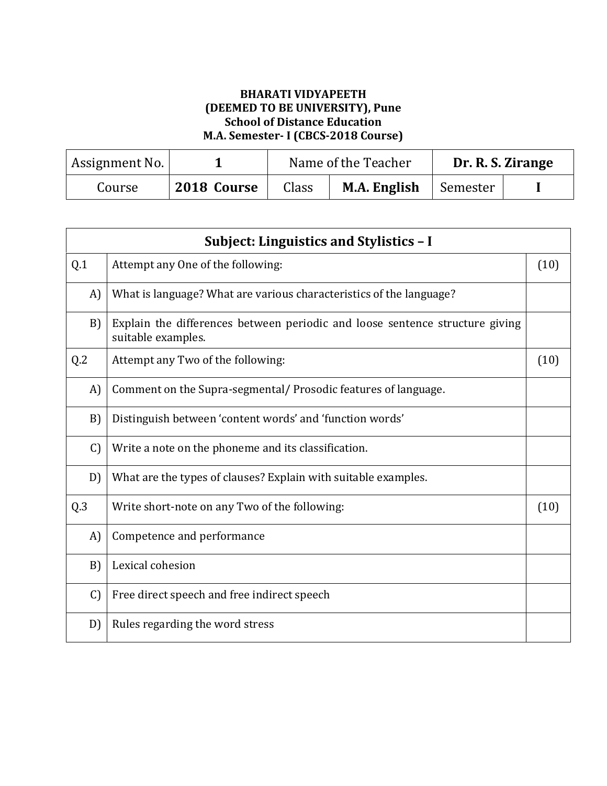| Assignment No. |             | Name of the Teacher |                                | Dr. R. S. Zirange |
|----------------|-------------|---------------------|--------------------------------|-------------------|
| Course         | 2018 Course | Class               | <b>M.A. English</b>   Semester |                   |

|               | Subject: Linguistics and Stylistics - I                                                            |      |
|---------------|----------------------------------------------------------------------------------------------------|------|
| Q.1           | Attempt any One of the following:                                                                  | (10) |
| A)            | What is language? What are various characteristics of the language?                                |      |
| B)            | Explain the differences between periodic and loose sentence structure giving<br>suitable examples. |      |
| Q.2           | Attempt any Two of the following:                                                                  | (10) |
| A)            | Comment on the Supra-segmental/Prosodic features of language.                                      |      |
| B)            | Distinguish between 'content words' and 'function words'                                           |      |
| $\mathcal{C}$ | Write a note on the phoneme and its classification.                                                |      |
| D)            | What are the types of clauses? Explain with suitable examples.                                     |      |
| Q.3           | Write short-note on any Two of the following:                                                      | (10) |
| A)            | Competence and performance                                                                         |      |
| B)            | Lexical cohesion                                                                                   |      |
| $\mathcal{C}$ | Free direct speech and free indirect speech                                                        |      |
| D)            | Rules regarding the word stress                                                                    |      |